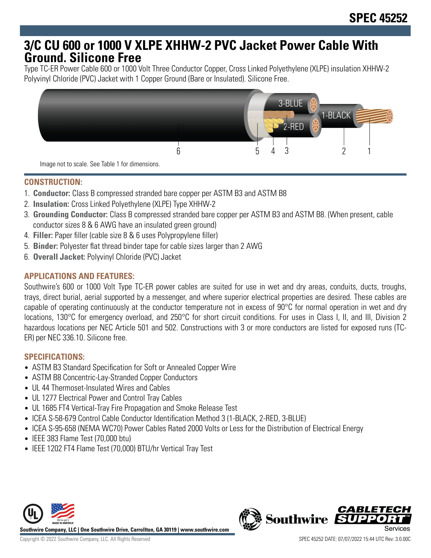# **3/C CU 600 or 1000 V XLPE XHHW-2 PVC Jacket Power Cable With Ground. Silicone Free**

Type TC-ER Power Cable 600 or 1000 Volt Three Conductor Copper, Cross Linked Polyethylene (XLPE) insulation XHHW-2 Polyvinyl Chloride (PVC) Jacket with 1 Copper Ground (Bare or Insulated). Silicone Free.



Image not to scale. See Table 1 for dimensions.

## **CONSTRUCTION:**

- 1. **Conductor:** Class B compressed stranded bare copper per ASTM B3 and ASTM B8
- 2. **Insulation:** Cross Linked Polyethylene (XLPE) Type XHHW-2
- 3. **Grounding Conductor:** Class B compressed stranded bare copper per ASTM B3 and ASTM B8. (When present, cable conductor sizes 8 & 6 AWG have an insulated green ground)
- 4. **Filler:** Paper filler (cable size 8 & 6 uses Polypropylene filler)
- 5. **Binder:** Polyester flat thread binder tape for cable sizes larger than 2 AWG
- 6. **Overall Jacket:** Polyvinyl Chloride (PVC) Jacket

# **APPLICATIONS AND FEATURES:**

Southwire's 600 or 1000 Volt Type TC-ER power cables are suited for use in wet and dry areas, conduits, ducts, troughs, trays, direct burial, aerial supported by a messenger, and where superior electrical properties are desired. These cables are capable of operating continuously at the conductor temperature not in excess of 90°C for normal operation in wet and dry locations, 130°C for emergency overload, and 250°C for short circuit conditions. For uses in Class I, II, and III, Division 2 hazardous locations per NEC Article 501 and 502. Constructions with 3 or more conductors are listed for exposed runs (TC-ER) per NEC 336.10. Silicone free.

### **SPECIFICATIONS:**

- ASTM B3 Standard Specification for Soft or Annealed Copper Wire
- ASTM B8 Concentric-Lay-Stranded Copper Conductors
- UL 44 Thermoset-Insulated Wires and Cables
- UL 1277 Electrical Power and Control Tray Cables
- UL 1685 FT4 Vertical-Tray Fire Propagation and Smoke Release Test
- ICEA S-58-679 Control Cable Conductor Identification Method 3 (1-BLACK, 2-RED, 3-BLUE)
- ICEA S-95-658 (NEMA WC70) Power Cables Rated 2000 Volts or Less for the Distribution of Electrical Energy
- IEEE 383 Flame Test (70,000 btu)
- IEEE 1202 FT4 Flame Test (70,000) BTU/hr Vertical Tray Test



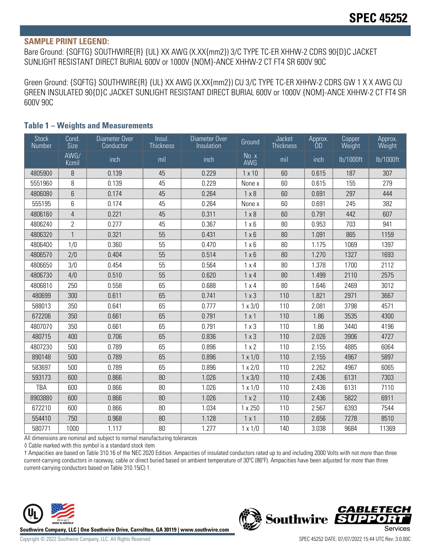#### **SAMPLE PRINT LEGEND:**

Bare Ground: {SQFTG} SOUTHWIRE{R} {UL} XX AWG (X.XX{mm2}) 3/C TYPE TC-ER XHHW-2 CDRS 90{D}C JACKET SUNLIGHT RESISTANT DIRECT BURIAL 600V or 1000V {NOM}-ANCE XHHW-2 CT FT4 SR 600V 90C

Green Ground: {SQFTG} SOUTHWIRE{R} {UL} XX AWG (X.XX{mm2}) CU 3/C TYPE TC-ER XHHW-2 CDRS GW 1 X X AWG CU GREEN INSULATED 90{D}C JACKET SUNLIGHT RESISTANT DIRECT BURIAL 600V or 1000V {NOM}-ANCE XHHW-2 CT FT4 SR 600V 90C

| <b>Stock</b><br>Number | Cond.<br>Size  | Diameter Over<br>Conductor | Insul.<br><b>Thickness</b> | Diameter Over<br>Insulation | Ground         | <b>Jacket</b><br><b>Thickness</b> | Approx.<br><b>OD</b> | Copper<br>Weight | Approx.<br>Weight |
|------------------------|----------------|----------------------------|----------------------------|-----------------------------|----------------|-----------------------------------|----------------------|------------------|-------------------|
|                        | AWG/<br>Kcmil  | inch                       | mil                        | inch                        | No. x<br>AWG   | mil                               | inch                 | lb/1000ft        | lb/1000ft         |
| 4805900                | $\, 8$         | 0.139                      | 45                         | 0.229                       | $1 \times 10$  | 60                                | 0.615                | 187              | 307               |
| 5551960                | 8              | 0.139                      | 45                         | 0.229                       | None x         | 60                                | 0.615                | 155              | 279               |
| 4806080                | 6              | 0.174                      | 45                         | 0.264                       | $1 \times 8$   | 60                                | 0.691                | 297              | 444               |
| 555195                 | 6              | 0.174                      | 45                         | 0.264                       | None x         | 60                                | 0.691                | 245              | 382               |
| 4806160                | $\overline{4}$ | 0.221                      | 45                         | 0.311                       | $1 \times 8$   | 60                                | 0.791                | 442              | 607               |
| 4806240                | $\overline{2}$ | 0.277                      | 45                         | 0.367                       | $1 \times 6$   | 80                                | 0.953                | 703              | 941               |
| 4806320                | $\mathbf{1}$   | 0.321                      | 55                         | 0.431                       | $1 \times 6$   | 80                                | 1.091                | 865              | 1159              |
| 4806400                | 1/0            | 0.360                      | 55                         | 0.470                       | $1 \times 6$   | 80                                | 1.175                | 1069             | 1397              |
| 4806570                | 2/0            | 0.404                      | 55                         | 0.514                       | $1 \times 6$   | 80                                | 1.270                | 1327             | 1693              |
| 4806650                | 3/0            | 0.454                      | 55                         | 0.564                       | 1x4            | $80\,$                            | 1.378                | 1700             | 2112              |
| 4806730                | 4/0            | 0.510                      | 55                         | 0.620                       | $1 \times 4$   | 80                                | 1.499                | 2110             | 2575              |
| 4806810                | 250            | 0.558                      | 65                         | 0.688                       | $1 \times 4$   | 80                                | 1.646                | 2469             | 3012              |
| 480699                 | 300            | 0.611                      | 65                         | 0.741                       | $1 \times 3$   | 110                               | 1.821                | 2971             | 3667              |
| 588013                 | 350            | 0.641                      | 65                         | 0.777                       | $1 \times 3/0$ | 110                               | 2.081                | 3798             | 4571              |
| 672206                 | 350            | 0.661                      | 65                         | 0.791                       | 1x1            | 110                               | 1.86                 | 3535             | 4300              |
| 4807070                | 350            | 0.661                      | 65                         | 0.791                       | $1 \times 3$   | 110                               | 1.86                 | 3440             | 4196              |
| 480715                 | 400            | 0.706                      | 65                         | 0.836                       | $1 \times 3$   | 110                               | 2.026                | 3906             | 4727              |
| 4807230                | 500            | 0.789                      | 65                         | 0.896                       | 1 x 2          | 110                               | 2.155                | 4885             | 6064              |
| 890148                 | 500            | 0.789                      | 65                         | 0.896                       | $1 \times 1/0$ | 110                               | 2.155                | 4967             | 5897              |
| 583697                 | 500            | 0.789                      | 65                         | 0.896                       | $1 \times 2/0$ | 110                               | 2.262                | 4967             | 6065              |
| 593173                 | 600            | 0.866                      | 80                         | 1.026                       | $1 \times 3/0$ | 110                               | 2.436                | 6131             | 7303              |
| TBA                    | 600            | 0.866                      | 80                         | 1.026                       | $1 \times 1/0$ | 110                               | 2.436                | 6131             | 7110              |
| 8903880                | 600            | 0.866                      | 80                         | 1.026                       | 1 x 2          | 110                               | 2.436                | 5822             | 6911              |
| 672210                 | 600            | 0.866                      | 80                         | 1.034                       | 1 x 250        | 110                               | 2.567                | 6393             | 7544              |
| 554410                 | 750            | 0.968                      | 80                         | 1.128                       | 1 x 1          | 110                               | 2.656                | 7278             | 8510              |
| 580771                 | 1000           | 1.117                      | 80                         | 1.277                       | $1 \times 1/0$ | 140                               | 3.038                | 9684             | 11369             |

#### **Table 1 – Weights and Measurements**

All dimensions are nominal and subject to normal manufacturing tolerances

◊ Cable marked with this symbol is a standard stock item

† Ampacities are based on Table 310.16 of the NEC 2020 Edition. Ampacities of insulated conductors rated up to and including 2000 Volts with not more than three current-carrying conductors in raceway, cable or direct buried based on ambient temperature of 30ºC (86ºF). Ampacities have been adjusted for more than three current-carrying conductors based on Table 310.15(C) 1.